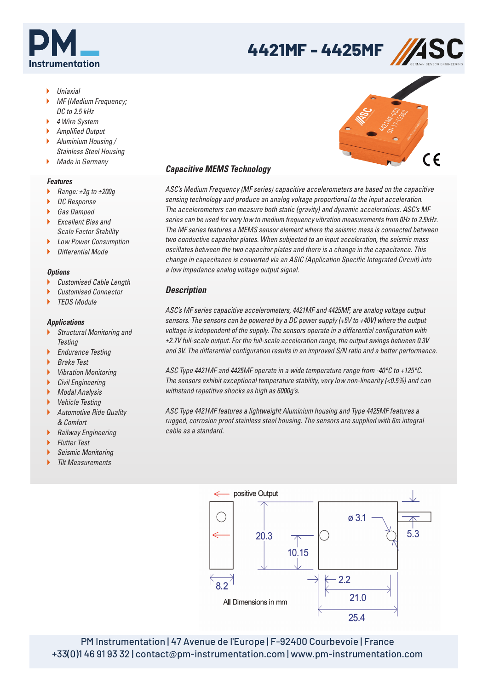

# **4421MF - 4425MF**



- Uniaxial
- MF (Medium Frequency; DC to 2.5 kHz
- ▶ 4 Wire System
- ▶ Amplified Output
- Aluminium Housing / Stainless Steel Housing
- **Made in Germany**
- 

## *Features*

- Range: ±2g to ±200g
- ▶ DC Response
- ▶ Gas Damped
- $\blacktriangleright$  Excellent Rias and Scale Factor Stability
- **Low Power Consumption**
- $\blacktriangleright$  Differential Mode

## *Options*

- ▶ Customised Cable Length
- Customised Connector
- TEDS Module

#### *Applications*

- Structural Monitoring and **Testing**
- **Endurance Testing**
- ▶ Brake Test
- Vibration Monitoring
- Civil Engineering
- ▶ Modal Analysis
- ▶ Vehicle Testing
- Automotive Ride Quality & Comfort
- **Railway Engineering**
- Flutter Test
- Seismic Monitoring
- Tilt Measurements

# *Capacitive MEMS Technology*

ASC's Medium Frequency (MF series) capacitive accelerometers are based on the capacitive sensing technology and produce an analog voltage proportional to the input acceleration. The accelerometers can measure both static (gravity) and dynamic accelerations. ASC's MF series can be used for very low to medium frequency vibration measurements from 0Hz to 2.5kHz. The MF series features a MEMS sensor element where the seismic mass is connected between two conductive capacitor plates. When subjected to an input acceleration, the seismic mass oscillates between the two capacitor plates and there is a change in the capacitance. This change in capacitance is converted via an ASIC (Application Specific Integrated Circuit) into a low impedance analog voltage output signal.

# *Description*

ASC's MF series capacitive accelerometers, 4421MF and 4425MF, are analog voltage output sensors. The sensors can be powered by a DC power supply (+5V to +40V) where the output voltage is independent of the supply. The sensors operate in a differential configuration with ±2.7V full-scale output. For the full-scale acceleration range, the output swings between 0.3V and 3V. The differential configuration results in an improved S/N ratio and a better performance.

ASC Type 4421MF and 4425MF operate in a wide temperature range from -40°C to +125°C. The sensors exhibit exceptional temperature stability, very low non-linearity (<0.5%) and can withstand repetitive shocks as high as 6000g's.

ASC Type 4421MF features a lightweight Aluminium housing and Type 4425MF features a rugged, corrosion proof stainless steel housing. The sensors are supplied with 6m integral cable as a standard.



PM Instrumentation | 47 Avenue de l'Europe | F-92400 Courbevoie | France +33(0)1 46 91 93 32 | contact@pm-instrumentation.com | www.pm-instrumentation.com

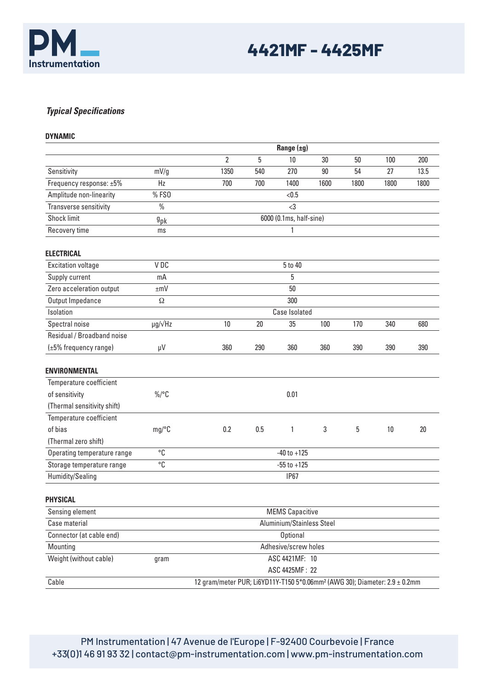

# *Typical Specifications*

**DYNAMIC**

|                             | Range $(\pm g)$      |                        |                                                                                        |                 |      |      |      |      |  |  |  |
|-----------------------------|----------------------|------------------------|----------------------------------------------------------------------------------------|-----------------|------|------|------|------|--|--|--|
|                             |                      | $\overline{2}$         | 5                                                                                      | 10              | 30   | 50   | 100  | 200  |  |  |  |
| Sensitivity                 | mV/g                 | 1350                   | 540                                                                                    | 270             | 90   | 54   | 27   | 13.5 |  |  |  |
| Frequency response: ±5%     | Hz                   | 700                    | 700                                                                                    | 1400            | 1600 | 1800 | 1800 | 1800 |  |  |  |
| Amplitude non-linearity     | %FS0                 |                        |                                                                                        | < 0.5           |      |      |      |      |  |  |  |
| Transverse sensitivity      | $\%$                 |                        |                                                                                        | $3$             |      |      |      |      |  |  |  |
| <b>Shock limit</b>          | $9$ pk               |                        | 6000 (0.1ms, half-sine)                                                                |                 |      |      |      |      |  |  |  |
| Recovery time               | ms                   |                        | 1                                                                                      |                 |      |      |      |      |  |  |  |
| <b>ELECTRICAL</b>           |                      |                        |                                                                                        |                 |      |      |      |      |  |  |  |
| <b>Excitation voltage</b>   | V DC                 |                        | 5 to 40                                                                                |                 |      |      |      |      |  |  |  |
| Supply current              | mA                   |                        | 5                                                                                      |                 |      |      |      |      |  |  |  |
| Zero acceleration output    | $\pm mV$             |                        |                                                                                        | 50              |      |      |      |      |  |  |  |
| Output Impedance            | Ω                    |                        | 300                                                                                    |                 |      |      |      |      |  |  |  |
| Isolation                   |                      |                        | Case Isolated                                                                          |                 |      |      |      |      |  |  |  |
| Spectral noise              | $\mu$ g/ $\sqrt{Hz}$ | 10                     | 20                                                                                     | 35              | 100  | 170  | 340  | 680  |  |  |  |
| Residual / Broadband noise  |                      |                        |                                                                                        |                 |      |      |      |      |  |  |  |
| (±5% frequency range)       | $\mu V$              | 360                    | 290                                                                                    | 360             | 360  | 390  | 390  | 390  |  |  |  |
| <b>ENVIRONMENTAL</b>        |                      |                        |                                                                                        |                 |      |      |      |      |  |  |  |
| Temperature coefficient     |                      |                        |                                                                                        |                 |      |      |      |      |  |  |  |
| of sensitivity              | $\%$ /°C             |                        |                                                                                        | 0.01            |      |      |      |      |  |  |  |
| (Thermal sensitivity shift) |                      |                        |                                                                                        |                 |      |      |      |      |  |  |  |
| Temperature coefficient     |                      |                        |                                                                                        |                 |      |      |      |      |  |  |  |
| of bias                     | mg/°C                | 0.2                    | 0.5                                                                                    | $\mathbf{1}$    | 3    | 5    | 10   | 20   |  |  |  |
| (Thermal zero shift)        |                      |                        |                                                                                        |                 |      |      |      |      |  |  |  |
| Operating temperature range | °C                   |                        | $-40$ to $+125$                                                                        |                 |      |      |      |      |  |  |  |
| Storage temperature range   | °C                   |                        | $-55$ to $+125$                                                                        |                 |      |      |      |      |  |  |  |
| Humidity/Sealing            |                      |                        |                                                                                        | <b>IP67</b>     |      |      |      |      |  |  |  |
| <b>PHYSICAL</b>             |                      |                        |                                                                                        |                 |      |      |      |      |  |  |  |
| Sensing element             |                      | <b>MEMS Capacitive</b> |                                                                                        |                 |      |      |      |      |  |  |  |
| Case material               |                      |                        | Aluminium/Stainless Steel                                                              |                 |      |      |      |      |  |  |  |
| Connector (at cable end)    |                      |                        |                                                                                        | <b>Optional</b> |      |      |      |      |  |  |  |
| Mounting                    |                      |                        | Adhesive/screw holes                                                                   |                 |      |      |      |      |  |  |  |
| Weight (without cable)      | gram                 |                        | ASC 4421MF: 10                                                                         |                 |      |      |      |      |  |  |  |
|                             |                      |                        |                                                                                        | ASC 4425MF: 22  |      |      |      |      |  |  |  |
| Cable                       |                      |                        | 12 gram/meter PUR; Li6YD11Y-T150 5*0.06mm <sup>2</sup> (AWG 30); Diameter: 2.9 ± 0.2mm |                 |      |      |      |      |  |  |  |

PM Instrumentation | 47 Avenue de l'Europe | F-92400 Courbevoie | France +33(0)1 46 91 93 32 | contact@pm-instrumentation.com | www.pm-instrumentation.com